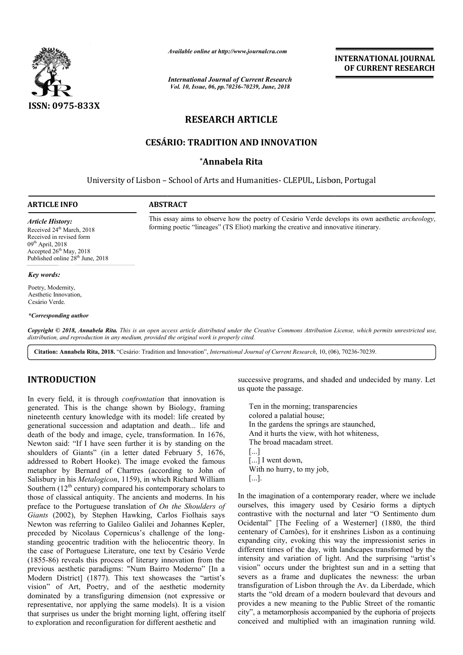

*Available online at http://www.journalcra.com*

*International Journal of Current Research Vol. 10, Issue, 06, pp.70236-70239, June, 2018*

**INTERNATIONAL JOURNAL OF CURRENT RESEARCH**

# **RESEARCH ARTICLE**

# **CESÁRIO: TRADITION AND INNOVATION**

## **\*Annabela Rita**

University of Lisbon - School of Arts and Humanities- CLEPUL, Lisbon, Portugal

### **ARTICLE INFO ABSTRACT**

*Article History:* Received 24<sup>th</sup> March, 2018 Received in revised form  $09^{th}$  April, 2018 Accepted 26<sup>th</sup> May, 2018 Published online 28<sup>th</sup> June, 2018

### *Key words:*

Poetry, Modernity, Aesthetic Innovation, Cesário Verde.

### *\*Corresponding author*

Copyright © 2018, Annabela Rita. This is an open access article distributed under the Creative Commons Attribution License, which permits unrestricted use, *distribution, and reproduction in any medium, provided the original work is properly cited.*

**Citation: Annabela Rita, 2018.** "Cesário: Tradition and Innovation", *International Journal of Current Research*, 10, (06 6), 70236-70239.

# **INTRODUCTION**

In every field, it is through *confrontation*  that innovation is generated. This is the change shown by Biology, framing nineteenth century knowledge with its model: life created by generational succession and adaptation and death... life and death of the body and image, cycle, transformation. In 1676, Newton said: "If I have seen further it is by standing on the shoulders of Giants" (in a letter dated February 5, 1676, addressed to Robert Hooke). The image evoked the famous metaphor by Bernard of Chartres (according to John of Salisbury in his *Metalogicon*, 1159), in which Richard William shoulders of Giants" (in a letter dated February 5, 1676, addressed to Robert Hooke). The image evoked the famous metaphor by Bernard of Chartres (according to John of Salisbury in his *Metalogicon*, 1159), in which Richa those of classical antiquity. The ancients and moderns. In his preface to the Portuguese translation of *On the Shoulders of Giants* (2002), by Stephen Hawking, Carlos Fiolhais says Newton was referring to Galileo Galilei and Johannes Kepler, preceded by Nicolaus Copernicus's challenge of the longstanding geocentric tradition with the heliocentric theory. In the case of Portuguese Literature, one text by Cesário Verde (1855-86) reveals this process of literary innovation from the previous aesthetic paradigms: "Num Bairro Moderno" [In a Modern District] (1877). This text showcases the "artist's vision" of Art, Poetry, and of the aesthetic modernity dominated by a transfiguring dimension (not expressive or representative, nor applying the same models). It is a vision that surprises us under the bright morning light, offering itself to exploration and reconfiguration for different aesthetic and **CODUCTION**<br>
successive programs, and shaded and undecided by many. Let<br>
y field, it is in the non-<br>protonation that innovation is<br>
us quote the passage.<br>
the charge shown by Biology, framing<br>
the nearge,<br>
the charge shown

us quote the passage.

Ten in the morning; transparencies colored a palatial house; In the gardens the springs are staunched, And it hurts the view, with hot whiteness, The broad macadam street. [...] [...] I went down, With no hurry, to my job, [...]. shaded and undecided by many. Let<br>ge.<br>ing; transparencies<br>al house;<br>he springs are staunched,<br>view, with hot whiteness,<br>adam street.<br>n,<br>to my job,<br>of a contemporary reader, where we include

This essay aims to observe how the poetry of Cesário Verde develops its own aesthetic *archeology*,

forming poetic "lineages" (TS Eliot) marking the creative and innovative itinerary.

In the imagination of a contemporary reader, where we include ourselves, this imagery used by Cesário forms a diptych contrastive with the nocturnal and later "O Sentimento dum Ocidental" [The Feeling of a Westerner] (1880, the third centenary of Camões), for it enshrines Lisbon as a cont expanding city, evoking this way the impressionist series in different times of the day, with landscapes transformed by the intensity and variation of light. And the surprising "artist's vision" occurs under the brightest sun and in a setting that severs as a frame and duplicates the newness: the urban transfiguration of Lisbon through the Av. da Liberdade, which starts the "old dream of a modern boulevard that devours and provides a new meaning to the Public Street of the romantic city", a metamorphosis accompanied by the euphoria of projects conceived and multiplied with an imagination running wild. with the nocturnal and later "O Sentimento dum<br>[The Feeling of a Westerner] (1880, the third<br>f Camões), for it enshrines Lisbon as a continuing **EXERVATIONAL FOURNEM MANUAL CONSTRANT CONSTRANT CONSTRANT OF CURRENT RESEARCH CONSTRANT (CONSTRANT CLEFT)**<br> **ARTICLE AND INNOVATION**<br> **ARTICLE AND INNOVATION**<br> **ARTICLE**<br> **ARTICLE**<br> **AND INNOVATION**<br> **ARTICLE**<br> **ARTICLE**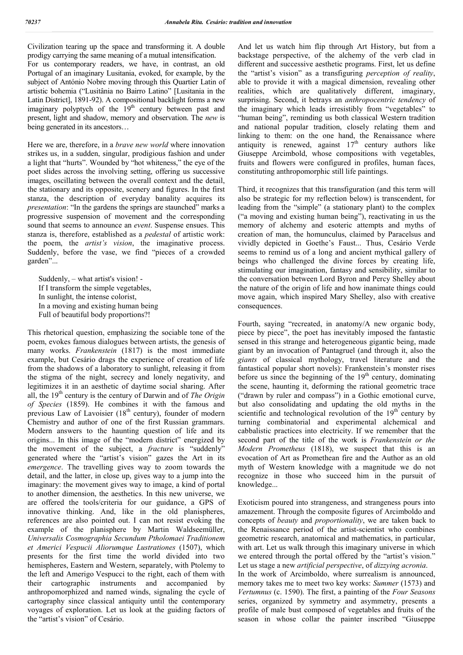Civilization tearing up the space and transforming it. A double prodigy carrying the same meaning of a mutual intensification. For us contemporary readers, we have, in contrast, an old Portugal of an imaginary Lusitania, evoked, for example, by the subject of António Nobre moving through this Quartier Latin of artistic bohemia ("Lusitânia no Bairro Latino" [Lusitania in the Latin District], 1891-92). A compositional backlight forms a new imaginary polyptych of the  $19<sup>th</sup>$  century between past and present, light and shadow, memory and observation. The *new* is being generated in its ancestors…

Here we are, therefore, in a *brave new world* where innovation strikes us, in a sudden, singular, prodigious fashion and under a light that "hurts". Wounded by "hot whiteness," the eye of the poet slides across the involving setting, offering us successive images, oscillating between the overall context and the detail, the stationary and its opposite, scenery and figures. In the first stanza, the description of everyday banality acquires its *presentation*: "In the gardens the springs are staunched" marks a progressive suspension of movement and the corresponding sound that seems to announce an *event*. Suspense ensues. This stanza is, therefore, established as a *pedestal* of artistic work: the poem, the *artist's vision*, the imaginative process. Suddenly, before the vase, we find "pieces of a crowded garden"...

Suddenly, – what artist's vision! - If I transform the simple vegetables, In sunlight, the intense colorist, In a moving and existing human being Full of beautiful body proportions?!

This rhetorical question, emphasizing the sociable tone of the poem, evokes famous dialogues between artists, the genesis of many works. *Frankenstein* (1817) is the most immediate example, but Cesário drags the experience of creation of life from the shadows of a laboratory to sunlight, releasing it from the stigma of the night, secrecy and lonely negativity, and legitimizes it in an aesthetic of daytime social sharing. After all, the 19<sup>th</sup> century is the century of Darwin and of *The Origin of Species* (1859). He combines it with the famous and previous Law of Lavoisier  $(18<sup>th</sup>$  century), founder of modern Chemistry and author of one of the first Russian grammars. Modern answers to the haunting question of life and its origins... In this image of the "modern district" energized by the movement of the subject, a *fracture* is "suddenly" generated where the "artist's vision" gazes the Art in its *emergence*. The travelling gives way to zoom towards the detail, and the latter, in close up, gives way to a jump into the imaginary: the movement gives way to image, a kind of portal to another dimension, the aesthetics. In this new universe, we are offered the tools/criteria for our guidance, a GPS of innovative thinking. And, like in the old planispheres, references are also pointed out. I can not resist evoking the example of the planisphere by Martin Waldseemüller, *Universalis Cosmographia Secundum Ptholomaei Traditionem et Americi Vespucii Aliorumque Lustrationes* (1507), which presents for the first time the world divided into two hemispheres, Eastern and Western, separately, with Ptolemy to the left and Amerigo Vespucci to the right, each of them with their cartographic instruments and accompanied by anthropomorphized and named winds, signaling the cycle of cartography since classical antiquity until the contemporary voyages of exploration. Let us look at the guiding factors of the "artist's vision" of Cesário.

And let us watch him flip through Art History, but from a backstage perspective, of the alchemy of the verb clad in different and successive aesthetic programs. First, let us define the "artist's vision" as a transfiguring *perception of reality*, able to provide it with a magical dimension, revealing other realities, which are qualitatively different, imaginary, surprising. Second, it betrays an *anthropocentric tendency* of the imaginary which leads irresistibly from "vegetables" to "human being", reminding us both classical Western tradition and national popular tradition, closely relating them and linking to them: on the one hand, the Renaissance where antiquity is renewed, against  $17<sup>th</sup>$  century authors like Giuseppe Arcimbold, whose compositions with vegetables, fruits and flowers were configured in profiles, human faces, constituting anthropomorphic still life paintings.

Third, it recognizes that this transfiguration (and this term will also be strategic for my reflection below) is transcendent, for leading from the "simple" (a stationary plant) to the complex ("a moving and existing human being"), reactivating in us the memory of alchemy and esoteric attempts and myths of creation of man, the homunculus, claimed by Paracelsus and vividly depicted in Goethe's Faust... Thus, Cesário Verde seems to remind us of a long and ancient mythical gallery of beings who challenged the divine forces by creating life, stimulating our imagination, fantasy and sensibility, similar to the conversation between Lord Byron and Percy Shelley about the nature of the origin of life and how inanimate things could move again, which inspired Mary Shelley, also with creative consequences.

Fourth, saying "recreated, in anatomy/A new organic body, piece by piece", the poet has inevitably imposed the fantastic sensed in this strange and heterogeneous gigantic being, made giant by an invocation of Pantagruel (and through it, also the *giants* of classical mythology, travel literature and the fantastical popular short novels): Frankenstein's monster rises before us since the beginning of the  $19<sup>th</sup>$  century, dominating the scene, haunting it, deforming the rational geometric trace ("drawn by ruler and compass") in a Gothic emotional curve, but also consolidating and updating the old myths in the scientific and technological revolution of the  $19<sup>th</sup>$  century by turning combinatorial and experimental alchemical and cabbalistic practices into electricity. If we remember that the second part of the title of the work is *Frankenstein or the Modern Prometheus* (1818), we suspect that this is an evocation of Art as Promethean fire and the Author as an old myth of Western knowledge with a magnitude we do not recognize in those who succeed him in the pursuit of knowledge...

Exoticism poured into strangeness, and strangeness pours into amazement. Through the composite figures of Arcimboldo and concepts of *beauty* and *proportionality*, we are taken back to the Renaissance period of the artist-scientist who combines geometric research, anatomical and mathematics, in particular, with art. Let us walk through this imaginary universe in which we entered through the portal offered by the "artist's vision." Let us stage a new *artificial perspective*, of *dizzying acronia*. In the work of Arcimboldo, where surrealism is announced, memory takes me to meet two key works: *Summer* (1573) and *Vertumnus* (c. 1590). The first, a painting of the *Four Seasons* series, organized by symmetry and asymmetry, presents a profile of male bust composed of vegetables and fruits of the season in whose collar the painter inscribed "Giuseppe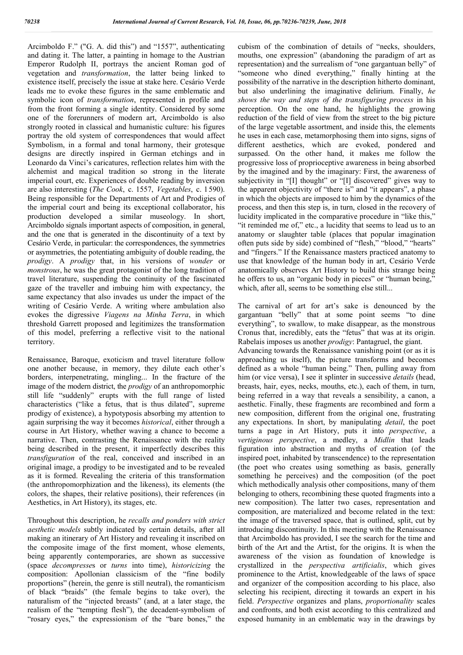Arcimboldo F." ("G. A. did this") and "1557", authenticating and dating it. The latter, a painting in homage to the Austrian Emperor Rudolph II, portrays the ancient Roman god of vegetation and *transformation*, the latter being linked to existence itself, precisely the issue at stake here. Cesário Verde leads me to evoke these figures in the same emblematic and symbolic icon of *transformation*, represented in profile and from the front forming a single identity. Considered by some one of the forerunners of modern art, Arcimboldo is also strongly rooted in classical and humanistic culture: his figures portray the old system of correspondences that would affect Symbolism, in a formal and tonal harmony, their grotesque designs are directly inspired in German etchings and in Leonardo da Vinci's caricatures, reflection relates him with the alchemist and magical tradition so strong in the literate imperial court, etc. Experiences of double reading by inversion are also interesting (*The Cook*, c. 1557, *Vegetables*, c. 1 590). Being responsible for the Departments of Art and Prodigies of the imperial court and being its exceptional collaborator, his production developed a similar museology. In short, Arcimboldo signals important aspects of composition, in general, and the one that is generated in the discontinuity of a text by Cesário Verde, in particular: the correspondences, the symmetries or asymmetries, the potentiating ambiguity of double reading, the *prodigy*. A *prodigy* that, in his versions of *wonder* or *monstrous*, he was the great protagonist of the long tradition of travel literature, suspending the continuity of the fascinated gaze of the traveller and imbuing him with expectancy, the same expectancy that also invades us under the impact of the writing of Cesário Verde. A writing where ambulation also evokes the digressive *Viagens na Minha Terra*, in which threshold Garrett proposed and legitimizes the transformation of this model, preferring a reflective visit to the national territory.

Renaissance, Baroque, exoticism and travel literature follow one another because, in memory, they dilute each other's borders, interpenetrating, mingling... In the fracture of the image of the modern district, the *prodigy* of an anthropomorphic still life "suddenly" erupts with the full range of listed characteristics ("like a fetus, that is thus dilated", supreme prodigy of existence), a hypotyposis absorbing my attention to again surprising the way it becomes *historical*, either through a course in Art History, whether waving a chance to become a narrative. Then, contrasting the Renaissance with the reality being described in the present, it imperfectly describes this *transfiguration* of the real, conceived and inscribed in an original image, a prodigy to be investigated and to be revealed as it is formed. Revealing the criteria of this transformation (the anthropomorphization and the likeness), its elements (the colors, the shapes, their relative positions), their references (in Aesthetics, in Art History), its stages, etc.

Throughout this description, he *recalls and ponders with strict aesthetic models* subtly indicated by certain details, after all making an itinerary of Art History and revealing it inscribed on the composite image of the first moment, whose elements, being apparently contemporaries, are shown as successive (space *decompresse*s or *turns* into time), *historicizing* the composition: Apollonian classicism of the "fine bodily proportions" (herein, the genre is still neutral), the romanticism of black "braids" (the female begins to take over), the naturalism of the "injected breasts" (and, at a later stage, the realism of the "tempting flesh"), the decadent-symbolism of "rosary eyes," the expressionism of the "bare bones," the

cubism of the combination of details of "necks, shoulders, mouths, one expression" (abandoning the paradigm of art as representation) and the surrealism of "one gargantuan belly" of "someone who dined everything," finally hinting at the possibility of the narrative in the description hitherto dominant, but also underlining the imaginative delirium. Finally, *he shows the way and steps of the transfiguring process* in his perception. On the one hand, he highlights the growing reduction of the field of view from the street to the big picture of the large vegetable assortment, and inside this, the elements he uses in each case, metamorphosing them into signs, signs of different aesthetics, which are evoked, pondered and surpassed. On the other hand, it makes me follow the progressive loss of proprioceptive awareness in being absorbed by the imagined and by the imaginary: First, the awareness of subjectivity in "[I] thought" or "[I] discovered" gives way to the apparent objectivity of "there is" and "it appears", a phase in which the objects are imposed to him by the dynamics of the process, and then this step is, in turn, closed in the recovery of lucidity implicated in the comparative procedure in "like this," "it reminded me of," etc., a lucidity that seems to lead us to an anatomy or slaughter table (places that popular imagination often puts side by side) combined of "flesh," "blood," "hearts" and "fingers." If the Renaissance masters practiced anatomy to use that knowledge of the human body in art, Cesário Verde anatomically observes Art History to build this strange being he offers to us, an "organic body in pieces" or "human being," which, after all, seems to be something else still...

The carnival of art for art's sake is denounced by the gargantuan "belly" that at some point seems "to dine everything", to swallow, to make disappear, as the monstrous Cronus that, incredibly, eats the "fetus" that was at its origin. Rabelais imposes us another *prodigy*: Pantagruel, the giant.

Advancing towards the Renaissance vanishing point (or as it is approaching us itself), the picture transforms and becomes defined as a whole "human being." Then, pulling away from him (or vice versa), I see it splinter in successive *details* (head, breasts, hair, eyes, necks, mouths, etc.), each of them, in turn, being referred in a way that reveals a sensibility, a canon, a aesthetic. Finally, these fragments are recombined and form a new composition, different from the original one, frustrating any expectations. In short, by manipulating *detail*, the poet turns a page in Art History, puts it into *perspective*, a *vertiginous perspective*, a medley, a *Midlin* that leads figuration into abstraction and myths of creation (of the inspired poet, inhabited by transcendence) to the representation (the poet who creates using something as basis, generally something he perceives) and the composition (of the poet which methodically analysis other compositions, many of them belonging to others, recombining these quoted fragments into a new composition). The latter two cases, representation and composition, are materialized and become related in the text: the image of the traversed space, that is outlined, split, cut by introducing discontinuity. In this meeting with the Renaissance that Arcimboldo has provided, I see the search for the time and birth of the Art and the Artist, for the origins. It is when the awareness of the vision as foundation of knowledge is crystallized in the *perspectiva artificialis*, which gives prominence to the Artist, knowledgeable of the laws of space and organizer of the composition according to his place, also selecting his recipient, directing it towards an expert in his field. *Perspective* organizes and plans, *proportionality* scales and confronts, and both exist according to this centralized and exposed humanity in an emblematic way in the drawings by